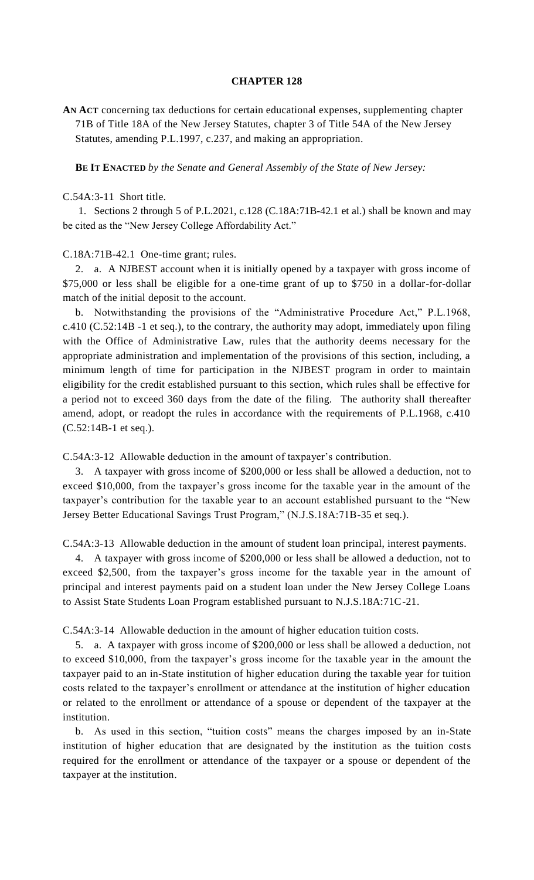## **CHAPTER 128**

**AN ACT** concerning tax deductions for certain educational expenses, supplementing chapter 71B of Title 18A of the New Jersey Statutes, chapter 3 of Title 54A of the New Jersey Statutes, amending P.L.1997, c.237, and making an appropriation.

**BE IT ENACTED** *by the Senate and General Assembly of the State of New Jersey:*

## C.54A:3-11 Short title.

1. Sections 2 through 5 of P.L.2021, c.128 (C.18A:71B-42.1 et al.) shall be known and may be cited as the "New Jersey College Affordability Act."

## C.18A:71B-42.1 One-time grant; rules.

2. a. A NJBEST account when it is initially opened by a taxpayer with gross income of \$75,000 or less shall be eligible for a one-time grant of up to \$750 in a dollar-for-dollar match of the initial deposit to the account.

b. Notwithstanding the provisions of the "Administrative Procedure Act," P.L.1968, c.410 (C.52:14B -1 et seq.), to the contrary, the authority may adopt, immediately upon filing with the Office of Administrative Law, rules that the authority deems necessary for the appropriate administration and implementation of the provisions of this section, including, a minimum length of time for participation in the NJBEST program in order to maintain eligibility for the credit established pursuant to this section, which rules shall be effective for a period not to exceed 360 days from the date of the filing. The authority shall thereafter amend, adopt, or readopt the rules in accordance with the requirements of P.L.1968, c.410 (C.52:14B-1 et seq.).

C.54A:3-12 Allowable deduction in the amount of taxpayer's contribution.

3. A taxpayer with gross income of \$200,000 or less shall be allowed a deduction, not to exceed \$10,000, from the taxpayer's gross income for the taxable year in the amount of the taxpayer's contribution for the taxable year to an account established pursuant to the "New Jersey Better Educational Savings Trust Program," (N.J.S.18A:71B-35 et seq.).

C.54A:3-13 Allowable deduction in the amount of student loan principal, interest payments.

4. A taxpayer with gross income of \$200,000 or less shall be allowed a deduction, not to exceed \$2,500, from the taxpayer's gross income for the taxable year in the amount of principal and interest payments paid on a student loan under the New Jersey College Loans to Assist State Students Loan Program established pursuant to N.J.S.18A:71C-21.

C.54A:3-14 Allowable deduction in the amount of higher education tuition costs.

5. a. A taxpayer with gross income of \$200,000 or less shall be allowed a deduction, not to exceed \$10,000, from the taxpayer's gross income for the taxable year in the amount the taxpayer paid to an in-State institution of higher education during the taxable year for tuition costs related to the taxpayer's enrollment or attendance at the institution of higher education or related to the enrollment or attendance of a spouse or dependent of the taxpayer at the institution.

b. As used in this section, "tuition costs" means the charges imposed by an in-State institution of higher education that are designated by the institution as the tuition costs required for the enrollment or attendance of the taxpayer or a spouse or dependent of the taxpayer at the institution.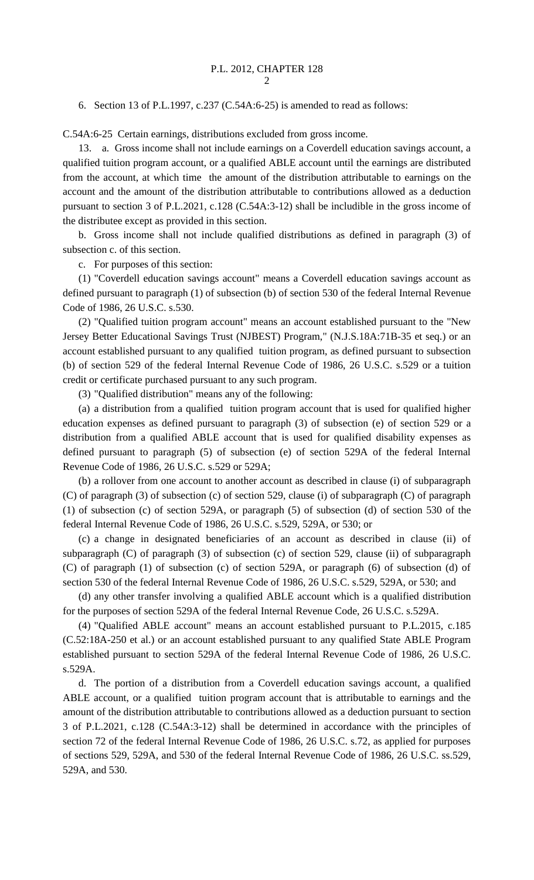6. Section 13 of P.L.1997, c.237 (C.54A:6-25) is amended to read as follows:

C.54A:6-25 Certain earnings, distributions excluded from gross income.

13. a. Gross income shall not include earnings on a Coverdell education savings account, a qualified tuition program account, or a qualified ABLE account until the earnings are distributed from the account, at which time the amount of the distribution attributable to earnings on the account and the amount of the distribution attributable to contributions allowed as a deduction pursuant to section 3 of P.L.2021, c.128 (C.54A:3-12) shall be includible in the gross income of the distributee except as provided in this section.

b. Gross income shall not include qualified distributions as defined in paragraph (3) of subsection c. of this section.

c. For purposes of this section:

(1) "Coverdell education savings account" means a Coverdell education savings account as defined pursuant to paragraph (1) of subsection (b) of section 530 of the federal Internal Revenue Code of 1986, 26 U.S.C. s.530.

(2) "Qualified tuition program account" means an account established pursuant to the "New Jersey Better Educational Savings Trust (NJBEST) Program," (N.J.S.18A:71B-35 et seq.) or an account established pursuant to any qualified tuition program, as defined pursuant to subsection (b) of section 529 of the federal Internal Revenue Code of 1986, 26 U.S.C. s.529 or a tuition credit or certificate purchased pursuant to any such program.

(3) "Qualified distribution" means any of the following:

(a) a distribution from a qualified tuition program account that is used for qualified higher education expenses as defined pursuant to paragraph (3) of subsection (e) of section 529 or a distribution from a qualified ABLE account that is used for qualified disability expenses as defined pursuant to paragraph (5) of subsection (e) of section 529A of the federal Internal Revenue Code of 1986, 26 U.S.C. s.529 or 529A;

(b) a rollover from one account to another account as described in clause (i) of subparagraph (C) of paragraph (3) of subsection (c) of section 529, clause (i) of subparagraph (C) of paragraph (1) of subsection (c) of section 529A, or paragraph (5) of subsection (d) of section 530 of the federal Internal Revenue Code of 1986, 26 U.S.C. s.529, 529A, or 530; or

(c) a change in designated beneficiaries of an account as described in clause (ii) of subparagraph (C) of paragraph (3) of subsection (c) of section 529, clause (ii) of subparagraph (C) of paragraph (1) of subsection (c) of section 529A, or paragraph (6) of subsection (d) of section 530 of the federal Internal Revenue Code of 1986, 26 U.S.C. s.529, 529A, or 530; and

(d) any other transfer involving a qualified ABLE account which is a qualified distribution for the purposes of section 529A of the federal Internal Revenue Code, 26 U.S.C. s.529A.

(4) "Qualified ABLE account" means an account established pursuant to P.L.2015, c.185 (C.52:18A-250 et al.) or an account established pursuant to any qualified State ABLE Program established pursuant to section 529A of the federal Internal Revenue Code of 1986, 26 U.S.C. s.529A.

d. The portion of a distribution from a Coverdell education savings account, a qualified ABLE account, or a qualified tuition program account that is attributable to earnings and the amount of the distribution attributable to contributions allowed as a deduction pursuant to section 3 of P.L.2021, c.128 (C.54A:3-12) shall be determined in accordance with the principles of section 72 of the federal Internal Revenue Code of 1986, 26 U.S.C. s.72, as applied for purposes of sections 529, 529A, and 530 of the federal Internal Revenue Code of 1986, 26 U.S.C. ss.529, 529A, and 530.